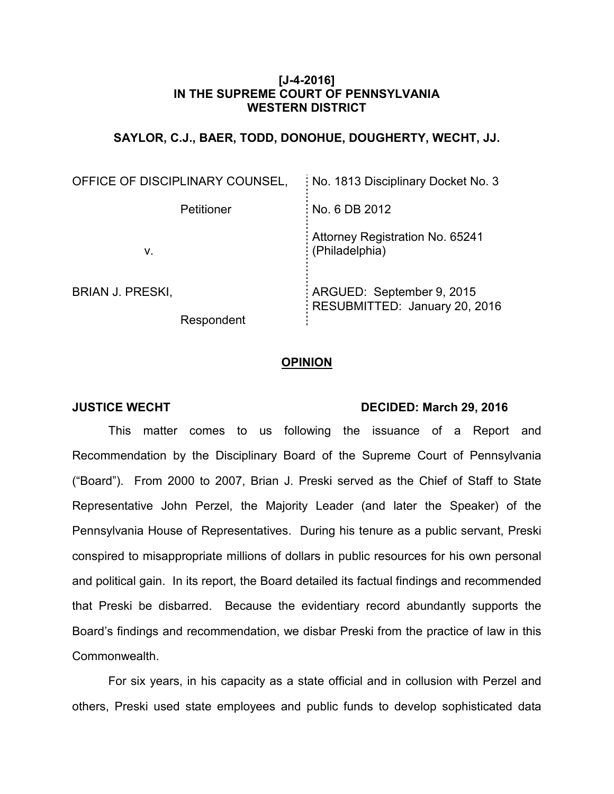## **[J-4-2016] IN THE SUPREME COURT OF PENNSYLVANIA WESTERN DISTRICT**

# **SAYLOR, C.J., BAER, TODD, DONOHUE, DOUGHERTY, WECHT, JJ.**

| OFFICE OF DISCIPLINARY COUNSEL,       | No. 1813 Disciplinary Docket No. 3                         |
|---------------------------------------|------------------------------------------------------------|
| Petitioner                            | No. 6 DB 2012                                              |
| V.                                    | Attorney Registration No. 65241<br>(Philadelphia)          |
| <b>BRIAN J. PRESKI,</b><br>Respondent | ARGUED: September 9, 2015<br>RESUBMITTED: January 20, 2016 |

## **OPINION**

#### **JUSTICE WECHT DECIDED: March 29, 2016**

This matter comes to us following the issuance of a Report and Recommendation by the Disciplinary Board of the Supreme Court of Pennsylvania ("Board"). From 2000 to 2007, Brian J. Preski served as the Chief of Staff to State Representative John Perzel, the Majority Leader (and later the Speaker) of the Pennsylvania House of Representatives. During his tenure as a public servant, Preski conspired to misappropriate millions of dollars in public resources for his own personal and political gain. In its report, the Board detailed its factual findings and recommended that Preski be disbarred. Because the evidentiary record abundantly supports the Board's findings and recommendation, we disbar Preski from the practice of law in this Commonwealth.

For six years, in his capacity as a state official and in collusion with Perzel and others, Preski used state employees and public funds to develop sophisticated data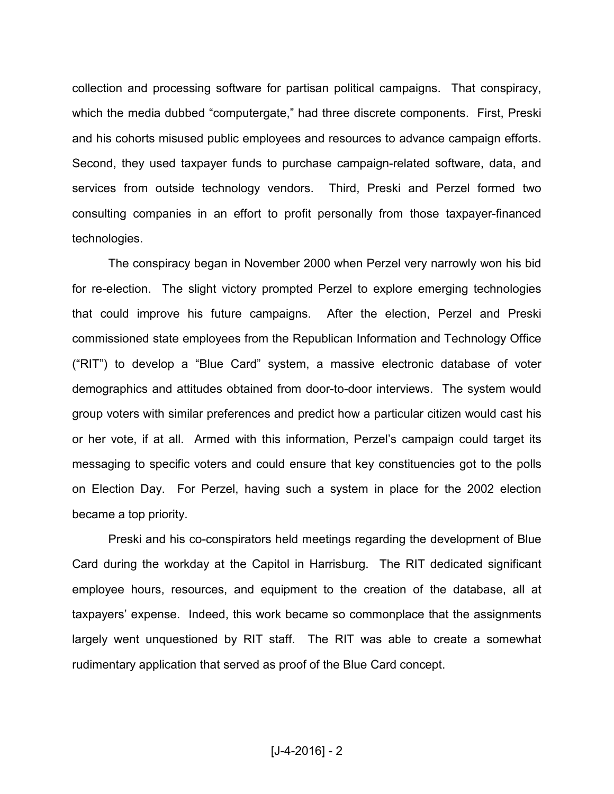collection and processing software for partisan political campaigns. That conspiracy, which the media dubbed "computergate," had three discrete components. First, Preski and his cohorts misused public employees and resources to advance campaign efforts. Second, they used taxpayer funds to purchase campaign-related software, data, and services from outside technology vendors. Third, Preski and Perzel formed two consulting companies in an effort to profit personally from those taxpayer-financed technologies.

The conspiracy began in November 2000 when Perzel very narrowly won his bid for re-election. The slight victory prompted Perzel to explore emerging technologies that could improve his future campaigns. After the election, Perzel and Preski commissioned state employees from the Republican Information and Technology Office ("RIT") to develop a "Blue Card" system, a massive electronic database of voter demographics and attitudes obtained from door-to-door interviews. The system would group voters with similar preferences and predict how a particular citizen would cast his or her vote, if at all. Armed with this information, Perzel's campaign could target its messaging to specific voters and could ensure that key constituencies got to the polls on Election Day. For Perzel, having such a system in place for the 2002 election became a top priority.

Preski and his co-conspirators held meetings regarding the development of Blue Card during the workday at the Capitol in Harrisburg. The RIT dedicated significant employee hours, resources, and equipment to the creation of the database, all at taxpayers' expense. Indeed, this work became so commonplace that the assignments largely went unquestioned by RIT staff. The RIT was able to create a somewhat rudimentary application that served as proof of the Blue Card concept.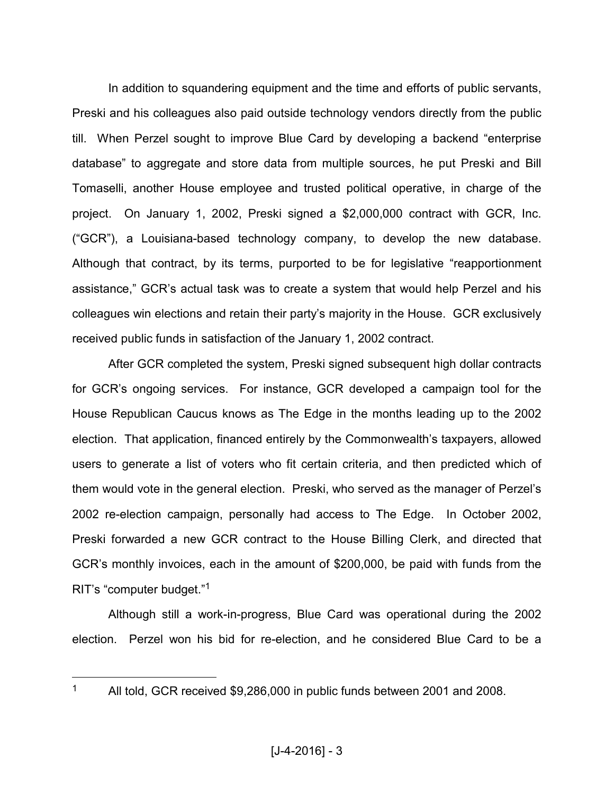In addition to squandering equipment and the time and efforts of public servants, Preski and his colleagues also paid outside technology vendors directly from the public till. When Perzel sought to improve Blue Card by developing a backend "enterprise database" to aggregate and store data from multiple sources, he put Preski and Bill Tomaselli, another House employee and trusted political operative, in charge of the project. On January 1, 2002, Preski signed a \$2,000,000 contract with GCR, Inc. ("GCR"), a Louisiana-based technology company, to develop the new database. Although that contract, by its terms, purported to be for legislative "reapportionment assistance," GCR's actual task was to create a system that would help Perzel and his colleagues win elections and retain their party's majority in the House. GCR exclusively received public funds in satisfaction of the January 1, 2002 contract.

After GCR completed the system, Preski signed subsequent high dollar contracts for GCR's ongoing services. For instance, GCR developed a campaign tool for the House Republican Caucus knows as The Edge in the months leading up to the 2002 election. That application, financed entirely by the Commonwealth's taxpayers, allowed users to generate a list of voters who fit certain criteria, and then predicted which of them would vote in the general election. Preski, who served as the manager of Perzel's 2002 re-election campaign, personally had access to The Edge. In October 2002, Preski forwarded a new GCR contract to the House Billing Clerk, and directed that GCR's monthly invoices, each in the amount of \$200,000, be paid with funds from the RIT's "computer budget."<sup>1</sup>

Although still a work-in-progress, Blue Card was operational during the 2002 election. Perzel won his bid for re-election, and he considered Blue Card to be a

All told, GCR received \$9,286,000 in public funds between 2001 and 2008.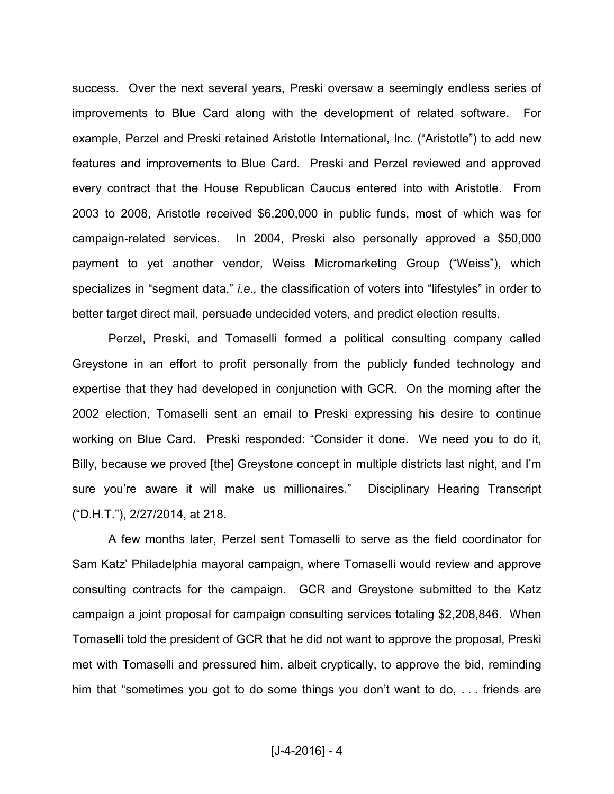success. Over the next several years, Preski oversaw a seemingly endless series of improvements to Blue Card along with the development of related software. For example, Perzel and Preski retained Aristotle International, Inc. ("Aristotle") to add new features and improvements to Blue Card. Preski and Perzel reviewed and approved every contract that the House Republican Caucus entered into with Aristotle. From 2003 to 2008, Aristotle received \$6,200,000 in public funds, most of which was for campaign-related services. In 2004, Preski also personally approved a \$50,000 payment to yet another vendor, Weiss Micromarketing Group ("Weiss"), which specializes in "segment data," *i.e.,* the classification of voters into "lifestyles" in order to better target direct mail, persuade undecided voters, and predict election results.

Perzel, Preski, and Tomaselli formed a political consulting company called Greystone in an effort to profit personally from the publicly funded technology and expertise that they had developed in conjunction with GCR. On the morning after the 2002 election, Tomaselli sent an email to Preski expressing his desire to continue working on Blue Card. Preski responded: "Consider it done. We need you to do it, Billy, because we proved [the] Greystone concept in multiple districts last night, and I'm sure you're aware it will make us millionaires." Disciplinary Hearing Transcript ("D.H.T."), 2/27/2014, at 218.

A few months later, Perzel sent Tomaselli to serve as the field coordinator for Sam Katz' Philadelphia mayoral campaign, where Tomaselli would review and approve consulting contracts for the campaign. GCR and Greystone submitted to the Katz campaign a joint proposal for campaign consulting services totaling \$2,208,846. When Tomaselli told the president of GCR that he did not want to approve the proposal, Preski met with Tomaselli and pressured him, albeit cryptically, to approve the bid, reminding him that "sometimes you got to do some things you don't want to do, ... friends are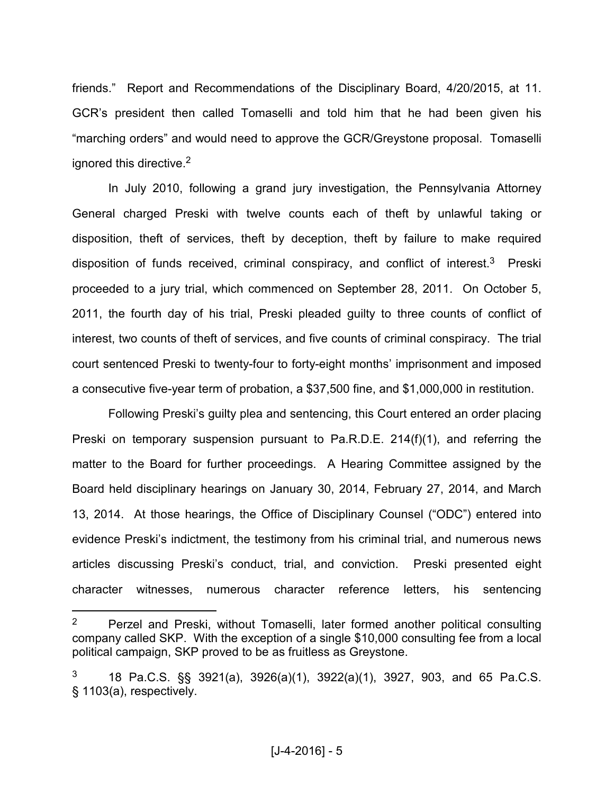friends." Report and Recommendations of the Disciplinary Board, 4/20/2015, at 11. GCR's president then called Tomaselli and told him that he had been given his "marching orders" and would need to approve the GCR/Greystone proposal. Tomaselli ignored this directive.<sup>2</sup>

In July 2010, following a grand jury investigation, the Pennsylvania Attorney General charged Preski with twelve counts each of theft by unlawful taking or disposition, theft of services, theft by deception, theft by failure to make required disposition of funds received, criminal conspiracy, and conflict of interest.<sup>3</sup> Preski proceeded to a jury trial, which commenced on September 28, 2011. On October 5, 2011, the fourth day of his trial, Preski pleaded guilty to three counts of conflict of interest, two counts of theft of services, and five counts of criminal conspiracy. The trial court sentenced Preski to twenty-four to forty-eight months' imprisonment and imposed a consecutive five-year term of probation, a \$37,500 fine, and \$1,000,000 in restitution.

Following Preski's guilty plea and sentencing, this Court entered an order placing Preski on temporary suspension pursuant to Pa.R.D.E. 214(f)(1), and referring the matter to the Board for further proceedings. A Hearing Committee assigned by the Board held disciplinary hearings on January 30, 2014, February 27, 2014, and March 13, 2014. At those hearings, the Office of Disciplinary Counsel ("ODC") entered into evidence Preski's indictment, the testimony from his criminal trial, and numerous news articles discussing Preski's conduct, trial, and conviction. Preski presented eight character witnesses, numerous character reference letters, his sentencing

<sup>2</sup> Perzel and Preski, without Tomaselli, later formed another political consulting company called SKP. With the exception of a single \$10,000 consulting fee from a local political campaign, SKP proved to be as fruitless as Greystone.

<sup>3</sup> 18 Pa.C.S. §§ 3921(a), 3926(a)(1), 3922(a)(1), 3927, 903, and 65 Pa.C.S. § 1103(a), respectively.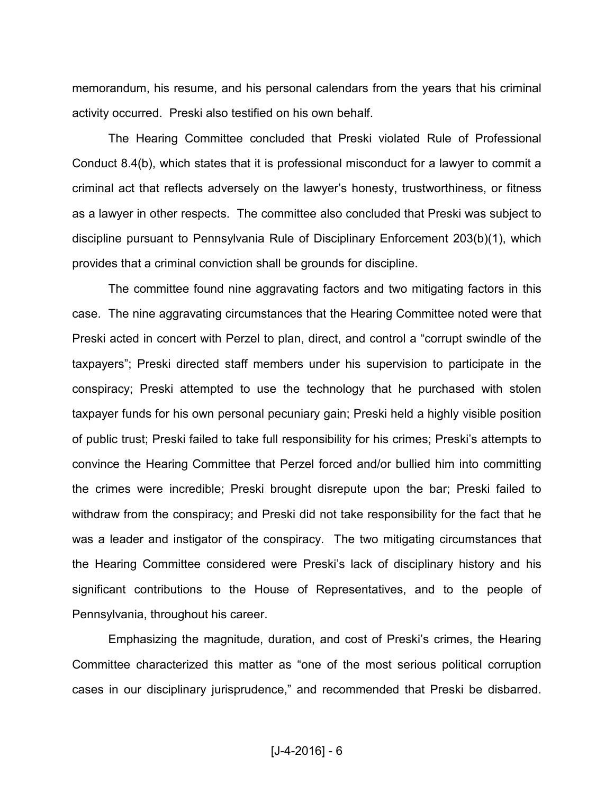memorandum, his resume, and his personal calendars from the years that his criminal activity occurred. Preski also testified on his own behalf.

The Hearing Committee concluded that Preski violated Rule of Professional Conduct 8.4(b), which states that it is professional misconduct for a lawyer to commit a criminal act that reflects adversely on the lawyer's honesty, trustworthiness, or fitness as a lawyer in other respects. The committee also concluded that Preski was subject to discipline pursuant to Pennsylvania Rule of Disciplinary Enforcement 203(b)(1), which provides that a criminal conviction shall be grounds for discipline.

The committee found nine aggravating factors and two mitigating factors in this case. The nine aggravating circumstances that the Hearing Committee noted were that Preski acted in concert with Perzel to plan, direct, and control a "corrupt swindle of the taxpayers"; Preski directed staff members under his supervision to participate in the conspiracy; Preski attempted to use the technology that he purchased with stolen taxpayer funds for his own personal pecuniary gain; Preski held a highly visible position of public trust; Preski failed to take full responsibility for his crimes; Preski's attempts to convince the Hearing Committee that Perzel forced and/or bullied him into committing the crimes were incredible; Preski brought disrepute upon the bar; Preski failed to withdraw from the conspiracy; and Preski did not take responsibility for the fact that he was a leader and instigator of the conspiracy. The two mitigating circumstances that the Hearing Committee considered were Preski's lack of disciplinary history and his significant contributions to the House of Representatives, and to the people of Pennsylvania, throughout his career.

Emphasizing the magnitude, duration, and cost of Preski's crimes, the Hearing Committee characterized this matter as "one of the most serious political corruption cases in our disciplinary jurisprudence," and recommended that Preski be disbarred.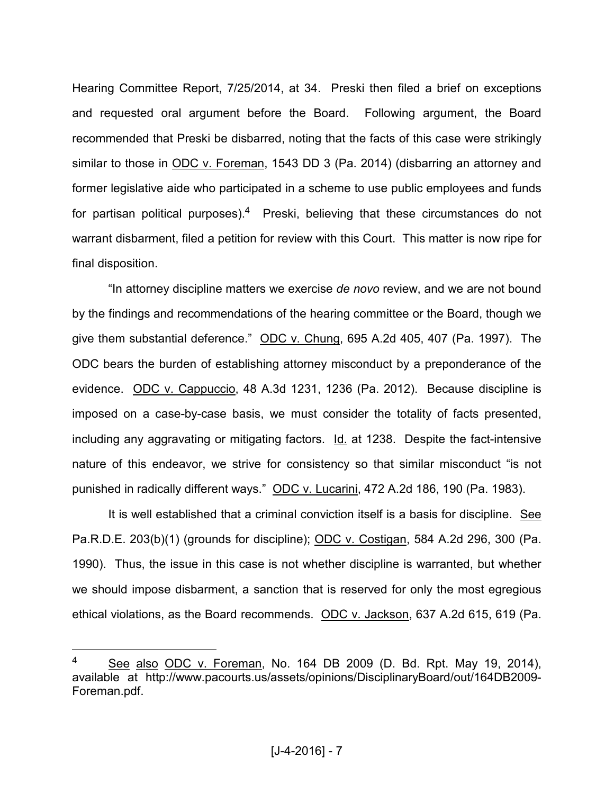Hearing Committee Report, 7/25/2014, at 34. Preski then filed a brief on exceptions and requested oral argument before the Board. Following argument, the Board recommended that Preski be disbarred, noting that the facts of this case were strikingly similar to those in ODC v. Foreman, 1543 DD 3 (Pa. 2014) (disbarring an attorney and former legislative aide who participated in a scheme to use public employees and funds for partisan political purposes).<sup>4</sup> Preski, believing that these circumstances do not warrant disbarment, filed a petition for review with this Court. This matter is now ripe for final disposition.

"In attorney discipline matters we exercise *de novo* review, and we are not bound by the findings and recommendations of the hearing committee or the Board, though we give them substantial deference." ODC v. Chung, 695 A.2d 405, 407 (Pa. 1997). The ODC bears the burden of establishing attorney misconduct by a preponderance of the evidence. ODC v. Cappuccio, 48 A.3d 1231, 1236 (Pa. 2012). Because discipline is imposed on a case-by-case basis, we must consider the totality of facts presented, including any aggravating or mitigating factors. Id. at 1238. Despite the fact-intensive nature of this endeavor, we strive for consistency so that similar misconduct "is not punished in radically different ways." ODC v. Lucarini, 472 A.2d 186, 190 (Pa. 1983).

It is well established that a criminal conviction itself is a basis for discipline. See Pa.R.D.E. 203(b)(1) (grounds for discipline); ODC v. Costigan, 584 A.2d 296, 300 (Pa. 1990). Thus, the issue in this case is not whether discipline is warranted, but whether we should impose disbarment, a sanction that is reserved for only the most egregious ethical violations, as the Board recommends. ODC v. Jackson, 637 A.2d 615, 619 (Pa.

<sup>4</sup> See also ODC v. Foreman, No. 164 DB 2009 (D. Bd. Rpt. May 19, 2014), available at http://www.pacourts.us/assets/opinions/DisciplinaryBoard/out/164DB2009- Foreman.pdf.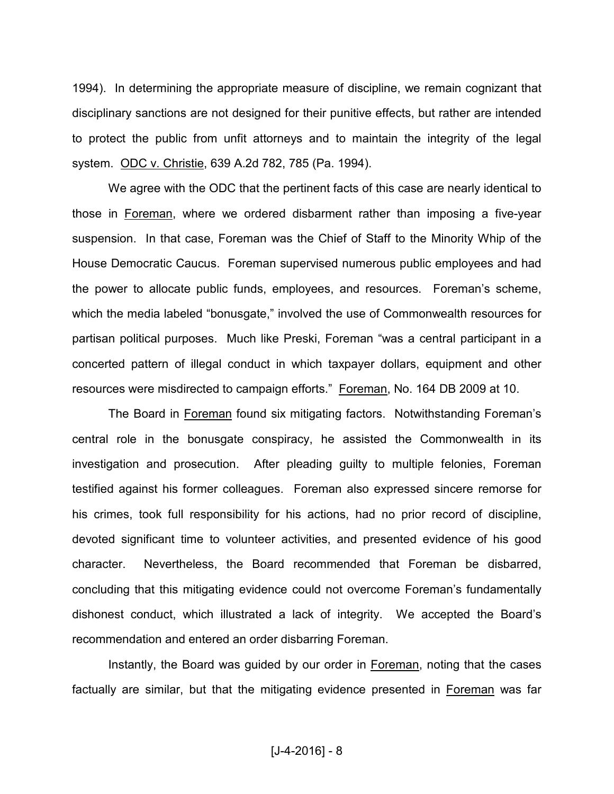1994). In determining the appropriate measure of discipline, we remain cognizant that disciplinary sanctions are not designed for their punitive effects, but rather are intended to protect the public from unfit attorneys and to maintain the integrity of the legal system. ODC v. Christie, 639 A.2d 782, 785 (Pa. 1994).

We agree with the ODC that the pertinent facts of this case are nearly identical to those in Foreman, where we ordered disbarment rather than imposing a five-year suspension. In that case, Foreman was the Chief of Staff to the Minority Whip of the House Democratic Caucus. Foreman supervised numerous public employees and had the power to allocate public funds, employees, and resources. Foreman's scheme, which the media labeled "bonusgate," involved the use of Commonwealth resources for partisan political purposes. Much like Preski, Foreman "was a central participant in a concerted pattern of illegal conduct in which taxpayer dollars, equipment and other resources were misdirected to campaign efforts." Foreman, No. 164 DB 2009 at 10.

The Board in Foreman found six mitigating factors. Notwithstanding Foreman's central role in the bonusgate conspiracy, he assisted the Commonwealth in its investigation and prosecution. After pleading guilty to multiple felonies, Foreman testified against his former colleagues. Foreman also expressed sincere remorse for his crimes, took full responsibility for his actions, had no prior record of discipline, devoted significant time to volunteer activities, and presented evidence of his good character. Nevertheless, the Board recommended that Foreman be disbarred, concluding that this mitigating evidence could not overcome Foreman's fundamentally dishonest conduct, which illustrated a lack of integrity. We accepted the Board's recommendation and entered an order disbarring Foreman.

Instantly, the Board was guided by our order in Foreman, noting that the cases factually are similar, but that the mitigating evidence presented in Foreman was far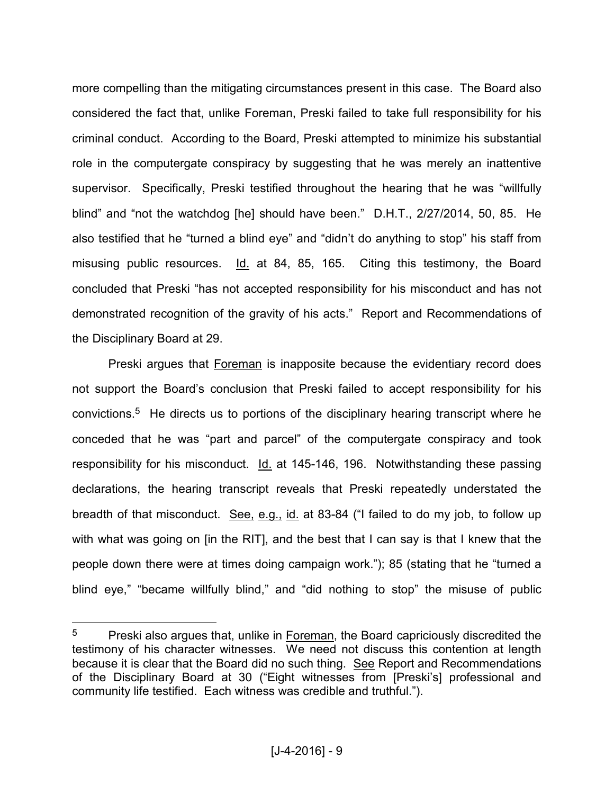more compelling than the mitigating circumstances present in this case. The Board also considered the fact that, unlike Foreman, Preski failed to take full responsibility for his criminal conduct. According to the Board, Preski attempted to minimize his substantial role in the computergate conspiracy by suggesting that he was merely an inattentive supervisor. Specifically, Preski testified throughout the hearing that he was "willfully blind" and "not the watchdog [he] should have been." D.H.T., 2/27/2014, 50, 85. He also testified that he "turned a blind eye" and "didn't do anything to stop" his staff from misusing public resources. Id. at 84, 85, 165. Citing this testimony, the Board concluded that Preski "has not accepted responsibility for his misconduct and has not demonstrated recognition of the gravity of his acts." Report and Recommendations of the Disciplinary Board at 29.

Preski argues that Foreman is inapposite because the evidentiary record does not support the Board's conclusion that Preski failed to accept responsibility for his convictions.<sup>5</sup> He directs us to portions of the disciplinary hearing transcript where he conceded that he was "part and parcel" of the computergate conspiracy and took responsibility for his misconduct. Id. at 145-146, 196. Notwithstanding these passing declarations, the hearing transcript reveals that Preski repeatedly understated the breadth of that misconduct. See, e.g., id. at 83-84 ("I failed to do my job, to follow up with what was going on [in the RIT], and the best that I can say is that I knew that the people down there were at times doing campaign work."); 85 (stating that he "turned a blind eye," "became willfully blind," and "did nothing to stop" the misuse of public

<sup>5</sup> Preski also argues that, unlike in Foreman, the Board capriciously discredited the testimony of his character witnesses. We need not discuss this contention at length because it is clear that the Board did no such thing. See Report and Recommendations of the Disciplinary Board at 30 ("Eight witnesses from [Preski's] professional and community life testified. Each witness was credible and truthful.").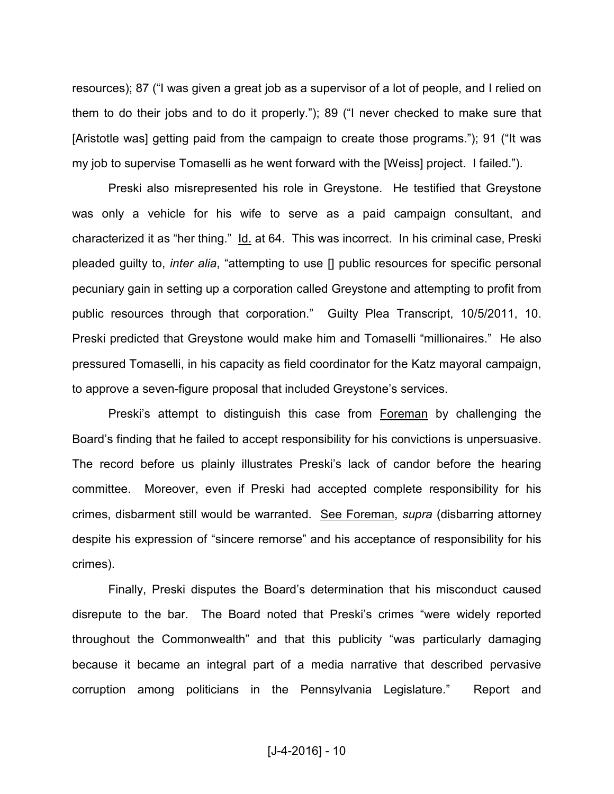resources); 87 ("I was given a great job as a supervisor of a lot of people, and I relied on them to do their jobs and to do it properly."); 89 ("I never checked to make sure that [Aristotle was] getting paid from the campaign to create those programs."); 91 ("It was my job to supervise Tomaselli as he went forward with the [Weiss] project. I failed.").

Preski also misrepresented his role in Greystone. He testified that Greystone was only a vehicle for his wife to serve as a paid campaign consultant, and characterized it as "her thing." Id. at 64. This was incorrect. In his criminal case, Preski pleaded guilty to, *inter alia*, "attempting to use [] public resources for specific personal pecuniary gain in setting up a corporation called Greystone and attempting to profit from public resources through that corporation." Guilty Plea Transcript, 10/5/2011, 10. Preski predicted that Greystone would make him and Tomaselli "millionaires." He also pressured Tomaselli, in his capacity as field coordinator for the Katz mayoral campaign, to approve a seven-figure proposal that included Greystone's services.

 Preski's attempt to distinguish this case from Foreman by challenging the Board's finding that he failed to accept responsibility for his convictions is unpersuasive. The record before us plainly illustrates Preski's lack of candor before the hearing committee. Moreover, even if Preski had accepted complete responsibility for his crimes, disbarment still would be warranted. See Foreman, *supra* (disbarring attorney despite his expression of "sincere remorse" and his acceptance of responsibility for his crimes).

Finally, Preski disputes the Board's determination that his misconduct caused disrepute to the bar. The Board noted that Preski's crimes "were widely reported throughout the Commonwealth" and that this publicity "was particularly damaging because it became an integral part of a media narrative that described pervasive corruption among politicians in the Pennsylvania Legislature." Report and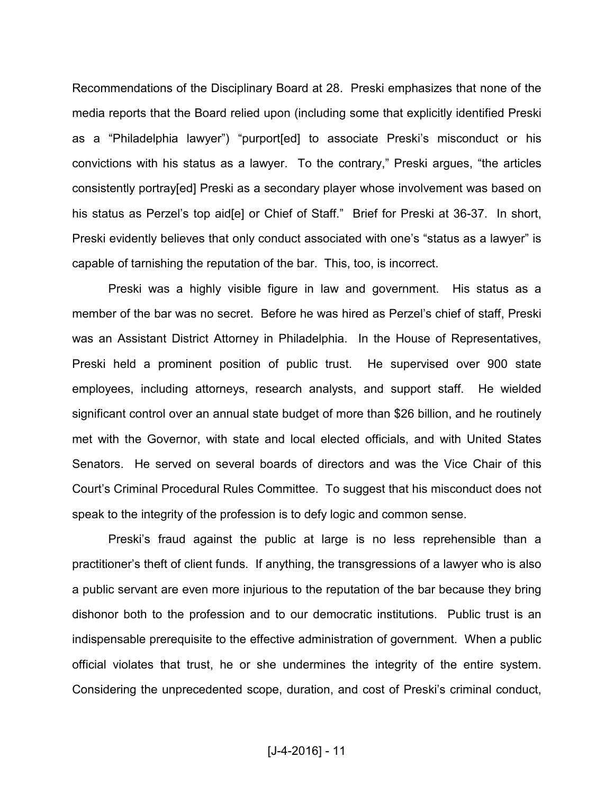Recommendations of the Disciplinary Board at 28. Preski emphasizes that none of the media reports that the Board relied upon (including some that explicitly identified Preski as a "Philadelphia lawyer") "purport[ed] to associate Preski's misconduct or his convictions with his status as a lawyer. To the contrary," Preski argues, "the articles consistently portray[ed] Preski as a secondary player whose involvement was based on his status as Perzel's top aid [e] or Chief of Staff." Brief for Preski at 36-37. In short, Preski evidently believes that only conduct associated with one's "status as a lawyer" is capable of tarnishing the reputation of the bar. This, too, is incorrect.

Preski was a highly visible figure in law and government. His status as a member of the bar was no secret. Before he was hired as Perzel's chief of staff, Preski was an Assistant District Attorney in Philadelphia. In the House of Representatives, Preski held a prominent position of public trust. He supervised over 900 state employees, including attorneys, research analysts, and support staff. He wielded significant control over an annual state budget of more than \$26 billion, and he routinely met with the Governor, with state and local elected officials, and with United States Senators. He served on several boards of directors and was the Vice Chair of this Court's Criminal Procedural Rules Committee. To suggest that his misconduct does not speak to the integrity of the profession is to defy logic and common sense.

Preski's fraud against the public at large is no less reprehensible than a practitioner's theft of client funds. If anything, the transgressions of a lawyer who is also a public servant are even more injurious to the reputation of the bar because they bring dishonor both to the profession and to our democratic institutions. Public trust is an indispensable prerequisite to the effective administration of government. When a public official violates that trust, he or she undermines the integrity of the entire system. Considering the unprecedented scope, duration, and cost of Preski's criminal conduct,